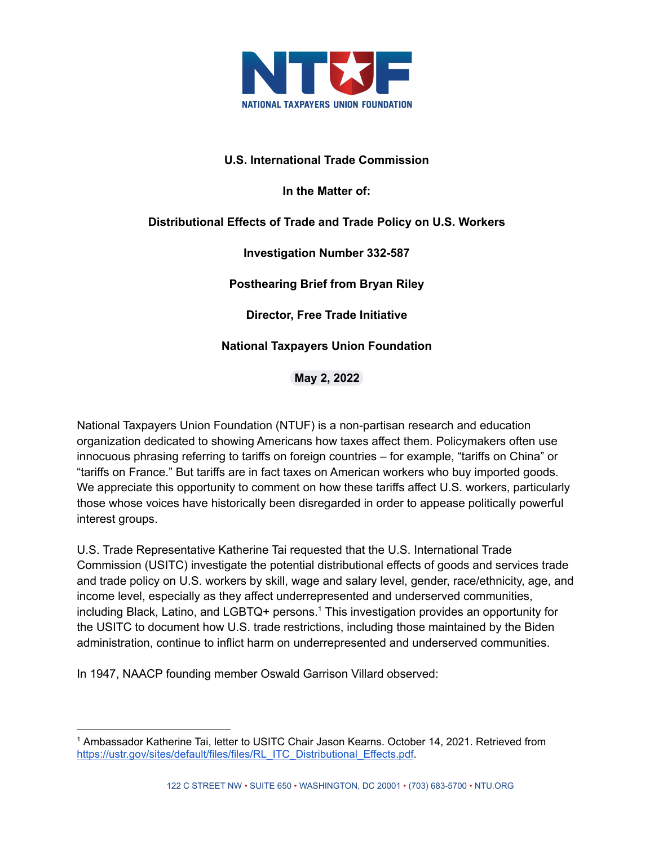

## **U.S. International Trade Commission**

**In the Matter of:**

# **Distributional Effects of Trade and Trade Policy on U.S. Workers**

**Investigation Number 332-587**

**Posthearing Brief from Bryan Riley**

**Director, Free Trade Initiative**

# **National Taxpayers Union Foundation**

**May 2, 2022**

National Taxpayers Union Foundation (NTUF) is a non-partisan research and education organization dedicated to showing Americans how taxes affect them. Policymakers often use innocuous phrasing referring to tariffs on foreign countries – for example, "tariffs on China" or "tariffs on France." But tariffs are in fact taxes on American workers who buy imported goods. We appreciate this opportunity to comment on how these tariffs affect U.S. workers, particularly those whose voices have historically been disregarded in order to appease politically powerful interest groups.

U.S. Trade Representative Katherine Tai requested that the U.S. International Trade Commission (USITC) investigate the potential distributional effects of goods and services trade and trade policy on U.S. workers by skill, wage and salary level, gender, race/ethnicity, age, and income level, especially as they affect underrepresented and underserved communities, including Black, Latino, and LGBTQ+ persons. <sup>1</sup> This investigation provides an opportunity for the USITC to document how U.S. trade restrictions, including those maintained by the Biden administration, continue to inflict harm on underrepresented and underserved communities.

In 1947, NAACP founding member Oswald Garrison Villard observed:

<sup>1</sup> Ambassador Katherine Tai, letter to USITC Chair Jason Kearns. October 14, 2021. Retrieved from [https://ustr.gov/sites/default/files/files/RL\\_ITC\\_Distributional\\_Effects.pdf](https://ustr.gov/sites/default/files/files/RL_ITC_Distributional_Effects.pdf).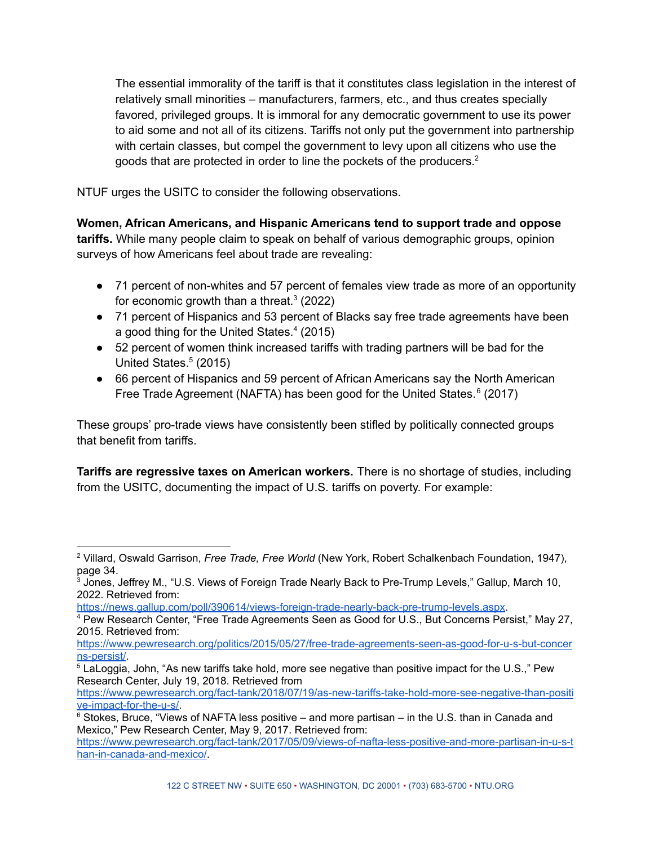The essential immorality of the tariff is that it constitutes class legislation in the interest of relatively small minorities – manufacturers, farmers, etc., and thus creates specially favored, privileged groups. It is immoral for any democratic government to use its power to aid some and not all of its citizens. Tariffs not only put the government into partnership with certain classes, but compel the government to levy upon all citizens who use the goods that are protected in order to line the pockets of the producers. 2

NTUF urges the USITC to consider the following observations.

**Women, African Americans, and Hispanic Americans tend to support trade and oppose tariffs.** While many people claim to speak on behalf of various demographic groups, opinion surveys of how Americans feel about trade are revealing:

- 71 percent of non-whites and 57 percent of females view trade as more of an opportunity for economic growth than a threat. $3$  (2022)
- 71 percent of Hispanics and 53 percent of Blacks say free trade agreements have been a good thing for the United States. 4 (2015)
- 52 percent of women think increased tariffs with trading partners will be bad for the United States. 5 (2015)
- 66 percent of Hispanics and 59 percent of African Americans say the North American Free Trade Agreement (NAFTA) has been good for the United States.<sup>6</sup> (2017)

These groups' pro-trade views have consistently been stifled by politically connected groups that benefit from tariffs.

**Tariffs are regressive taxes on American workers.** There is no shortage of studies, including from the USITC, documenting the impact of U.S. tariffs on poverty. For example:

<sup>2</sup> Villard, Oswald Garrison, *Free Trade, Free World* (New York, Robert Schalkenbach Foundation, 1947), page 34.

<sup>&</sup>lt;sup>3</sup> Jones, Jeffrey M., "U.S. Views of Foreign Trade Nearly Back to Pre-Trump Levels," Gallup, March 10, 2022. Retrieved from:

<https://news.gallup.com/poll/390614/views-foreign-trade-nearly-back-pre-trump-levels.aspx>.

<sup>4</sup> Pew Research Center, "Free Trade Agreements Seen as Good for U.S., But Concerns Persist," May 27, 2015. Retrieved from:

[https://www.pewresearch.org/politics/2015/05/27/free-trade-agreements-seen-as-good-for-u-s-but-concer](https://www.pewresearch.org/politics/2015/05/27/free-trade-agreements-seen-as-good-for-u-s-but-concerns-persist/) [ns-persist/](https://www.pewresearch.org/politics/2015/05/27/free-trade-agreements-seen-as-good-for-u-s-but-concerns-persist/).

<sup>5</sup> LaLoggia, John, "As new tariffs take hold, more see negative than positive impact for the U.S.," Pew Research Center, July 19, 2018. Retrieved from

[https://www.pewresearch.org/fact-tank/2018/07/19/as-new-tariffs-take-hold-more-see-negative-than-positi](https://www.pewresearch.org/fact-tank/2018/07/19/as-new-tariffs-take-hold-more-see-negative-than-positive-impact-for-the-u-s/) [ve-impact-for-the-u-s/.](https://www.pewresearch.org/fact-tank/2018/07/19/as-new-tariffs-take-hold-more-see-negative-than-positive-impact-for-the-u-s/)

 $6$  Stokes, Bruce, "Views of NAFTA less positive – and more partisan – in the U.S. than in Canada and Mexico," Pew Research Center, May 9, 2017. Retrieved from:

[https://www.pewresearch.org/fact-tank/2017/05/09/views-of-nafta-less-positive-and-more-partisan-in-u-s-t](https://www.pewresearch.org/fact-tank/2017/05/09/views-of-nafta-less-positive-and-more-partisan-in-u-s-than-in-canada-and-mexico/) [han-in-canada-and-mexico/.](https://www.pewresearch.org/fact-tank/2017/05/09/views-of-nafta-less-positive-and-more-partisan-in-u-s-than-in-canada-and-mexico/)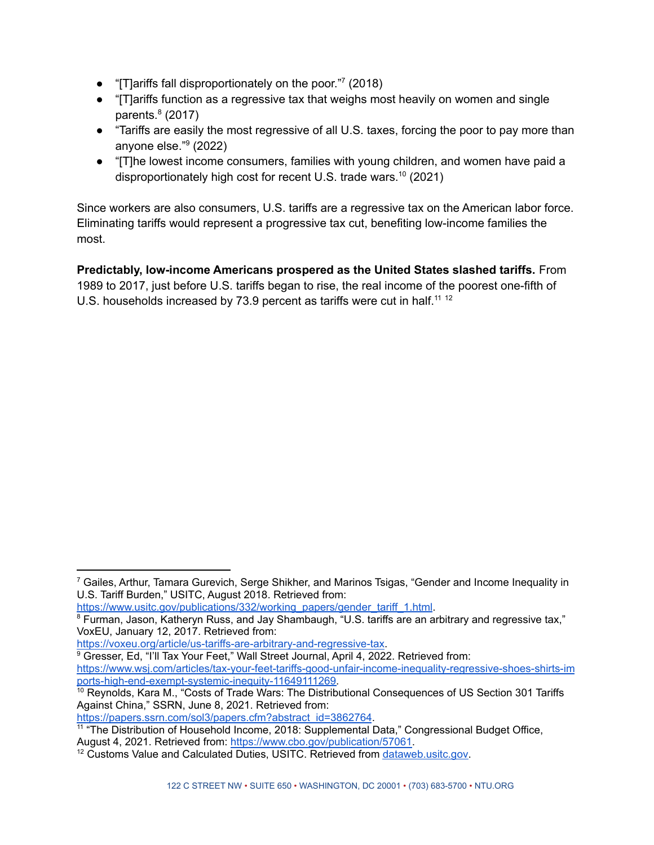- "[T]ariffs fall disproportionately on the poor."<sup>7</sup> (2018)
- "[T]ariffs function as a regressive tax that weighs most heavily on women and single parents. 8 (2017)
- "Tariffs are easily the most regressive of all U.S. taxes, forcing the poor to pay more than anyone else." 9 (2022)
- "[T]he lowest income consumers, families with young children, and women have paid a disproportionately high cost for recent U.S. trade wars. 10 (2021)

Since workers are also consumers, U.S. tariffs are a regressive tax on the American labor force. Eliminating tariffs would represent a progressive tax cut, benefiting low-income families the most.

**Predictably, low-income Americans prospered as the United States slashed tariffs.** From 1989 to 2017, just before U.S. tariffs began to rise, the real income of the poorest one-fifth of U.S. households increased by 73.9 percent as tariffs were cut in half.<sup>11-12</sup>

[https://www.usitc.gov/publications/332/working\\_papers/gender\\_tariff\\_1.html](https://www.usitc.gov/publications/332/working_papers/gender_tariff_1.html).

<https://voxeu.org/article/us-tariffs-are-arbitrary-and-regressive-tax>.

[https://papers.ssrn.com/sol3/papers.cfm?abstract\\_id=3862764](https://papers.ssrn.com/sol3/papers.cfm?abstract_id=3862764).

 $7$  Gailes, Arthur, Tamara Gurevich, Serge Shikher, and Marinos Tsigas, "Gender and Income Inequality in U.S. Tariff Burden," USITC, August 2018. Retrieved from:

<sup>&</sup>lt;sup>8</sup> Furman, Jason, Katheryn Russ, and Jay Shambaugh, "U.S. tariffs are an arbitrary and regressive tax," VoxEU, January 12, 2017. Retrieved from:

<sup>&</sup>lt;sup>9</sup> Gresser, Ed, "I'll Tax Your Feet," Wall Street Journal, April 4, 2022. Retrieved from: [https://www.wsj.com/articles/tax-your-feet-tariffs-good-unfair-income-inequality-regressive-shoes-shirts-im](https://www.wsj.com/articles/tax-your-feet-tariffs-good-unfair-income-inequality-regressive-shoes-shirts-imports-high-end-exempt-systemic-inequity-11649111269) [ports-high-end-exempt-systemic-inequity-11649111269.](https://www.wsj.com/articles/tax-your-feet-tariffs-good-unfair-income-inequality-regressive-shoes-shirts-imports-high-end-exempt-systemic-inequity-11649111269)

<sup>&</sup>lt;sup>10</sup> Reynolds, Kara M., "Costs of Trade Wars: The Distributional Consequences of US Section 301 Tariffs Against China," SSRN, June 8, 2021. Retrieved from:

<sup>&</sup>lt;sup>11</sup> "The Distribution of Household Income, 2018: Supplemental Data," Congressional Budget Office, August 4, 2021. Retrieved from: [https://www.cbo.gov/publication/57061.](https://www.cbo.gov/publication/57061)

<sup>&</sup>lt;sup>12</sup> Customs Value and Calculated Duties, USITC. Retrieved from [dataweb.usitc.gov.](http://dataweb.usitc.gov)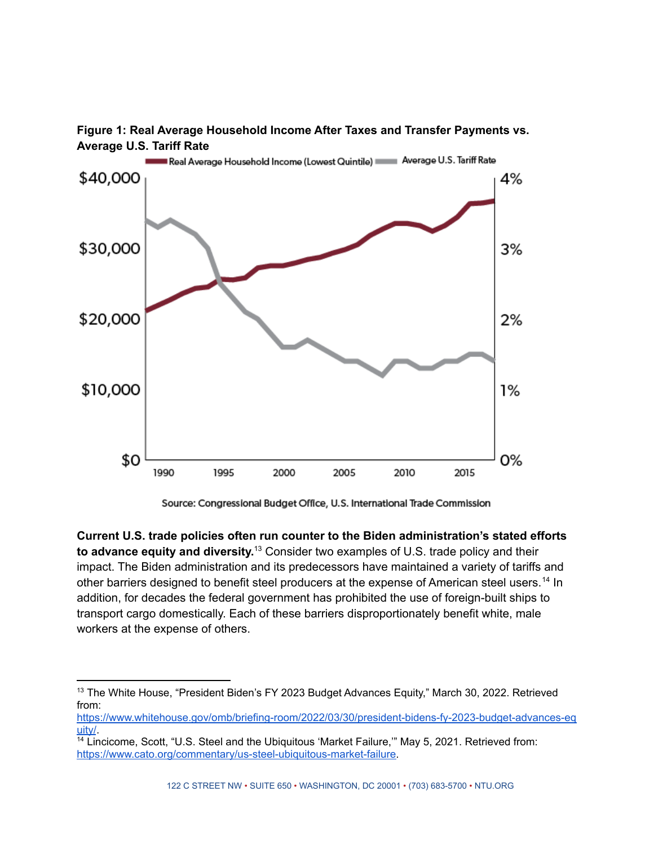



Source: Congressional Budget Office, U.S. International Trade Commission

**Current U.S. trade policies often run counter to the Biden administration's stated efforts to advance equity and diversity.** <sup>13</sup> Consider two examples of U.S. trade policy and their impact. The Biden administration and its predecessors have maintained a variety of tariffs and other barriers designed to benefit steel producers at the expense of American steel users.<sup>14</sup> In addition, for decades the federal government has prohibited the use of foreign-built ships to transport cargo domestically. Each of these barriers disproportionately benefit white, male workers at the expense of others.

<sup>&</sup>lt;sup>13</sup> The White House, "President Biden's FY 2023 Budget Advances Equity," March 30, 2022. Retrieved from:

[https://www.whitehouse.gov/omb/briefing-room/2022/03/30/president-bidens-fy-2023-budget-advances-eq](https://www.whitehouse.gov/omb/briefing-room/2022/03/30/president-bidens-fy-2023-budget-advances-equity/) [uity/](https://www.whitehouse.gov/omb/briefing-room/2022/03/30/president-bidens-fy-2023-budget-advances-equity/).

<sup>14</sup> Lincicome, Scott, "U.S. Steel and the Ubiquitous 'Market Failure,'" May 5, 2021. Retrieved from: [https://www.cato.org/commentary/us-steel-ubiquitous-market-failure.](https://www.cato.org/commentary/us-steel-ubiquitous-market-failure)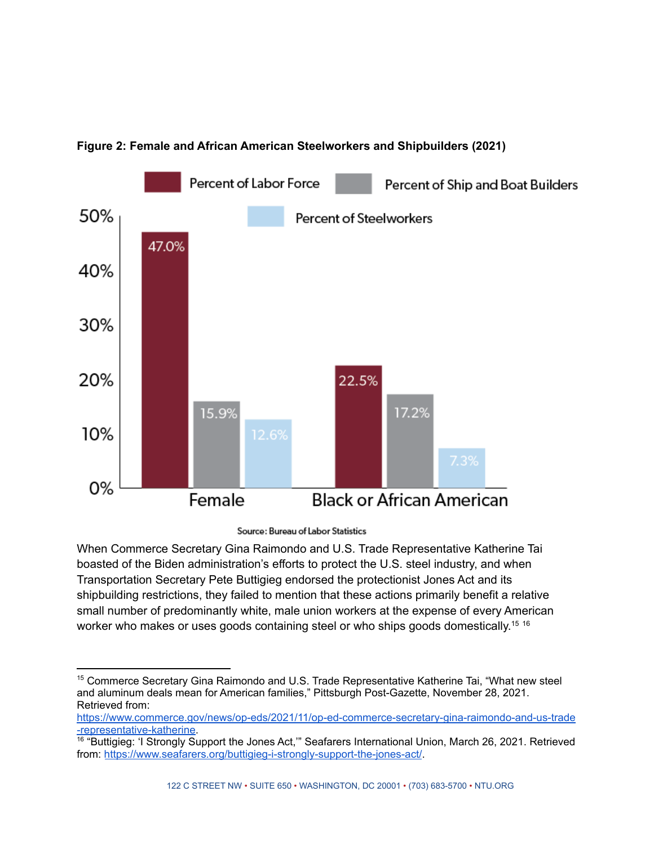

## **Figure 2: Female and African American Steelworkers and Shipbuilders (2021)**

Source: Bureau of Labor Statistics

When Commerce Secretary Gina Raimondo and U.S. Trade Representative Katherine Tai boasted of the Biden administration's efforts to protect the U.S. steel industry, and when Transportation Secretary Pete Buttigieg endorsed the protectionist Jones Act and its shipbuilding restrictions, they failed to mention that these actions primarily benefit a relative small number of predominantly white, male union workers at the expense of every American worker who makes or uses goods containing steel or who ships goods domestically.<sup>15 16</sup>

<sup>&</sup>lt;sup>15</sup> Commerce Secretary Gina Raimondo and U.S. Trade Representative Katherine Tai, "What new steel and aluminum deals mean for American families," Pittsburgh Post-Gazette, November 28, 2021. Retrieved from:

[https://www.commerce.gov/news/op-eds/2021/11/op-ed-commerce-secretary-gina-raimondo-and-us-trade](https://www.commerce.gov/news/op-eds/2021/11/op-ed-commerce-secretary-gina-raimondo-and-us-trade-representative-katherine) [-representative-katherine](https://www.commerce.gov/news/op-eds/2021/11/op-ed-commerce-secretary-gina-raimondo-and-us-trade-representative-katherine).

<sup>&</sup>lt;sup>16</sup> "Buttigieg: 'I Strongly Support the Jones Act," Seafarers International Union, March 26, 2021. Retrieved from: <https://www.seafarers.org/buttigieg-i-strongly-support-the-jones-act/>.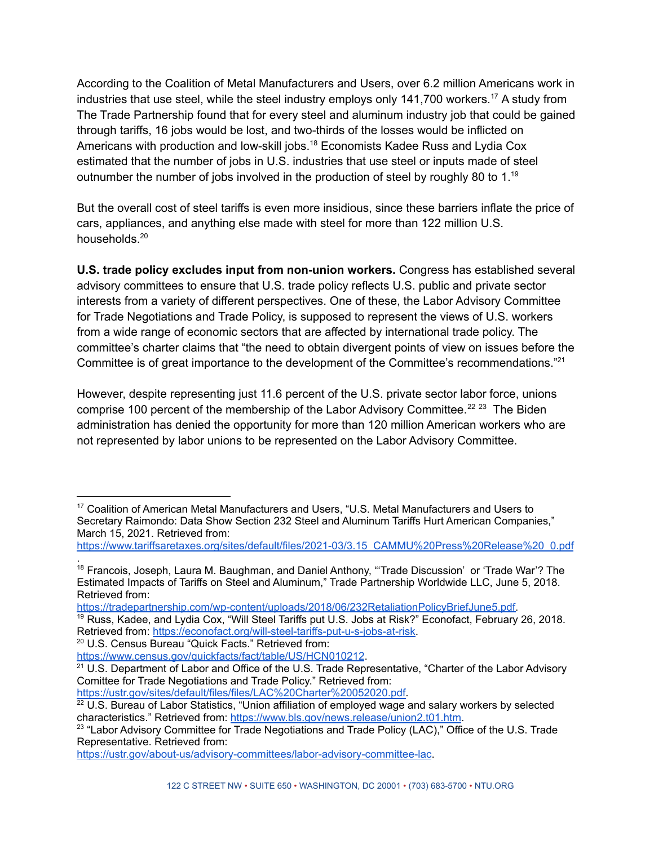According to the Coalition of Metal Manufacturers and Users, over 6.2 million Americans work in industries that use steel, while the steel industry employs only 141,700 workers. <sup>17</sup> A study from The Trade Partnership found that for every steel and aluminum industry job that could be gained through tariffs, 16 jobs would be lost, and two-thirds of the losses would be inflicted on Americans with production and low-skill jobs.<sup>18</sup> Economists Kadee Russ and Lydia Cox estimated that the number of jobs in U.S. industries that use steel or inputs made of steel outnumber the number of jobs involved in the production of steel by roughly 80 to 1.<sup>19</sup>

But the overall cost of steel tariffs is even more insidious, since these barriers inflate the price of cars, appliances, and anything else made with steel for more than 122 million U.S. households. 20

**U.S. trade policy excludes input from non-union workers.** Congress has established several advisory committees to ensure that U.S. trade policy reflects U.S. public and private sector interests from a variety of different perspectives. One of these, the Labor Advisory Committee for Trade Negotiations and Trade Policy, is supposed to represent the views of U.S. workers from a wide range of economic sectors that are affected by international trade policy. The committee's charter claims that "the need to obtain divergent points of view on issues before the Committee is of great importance to the development of the Committee's recommendations."<sup>21</sup>

However, despite representing just 11.6 percent of the U.S. private sector labor force, unions comprise 100 percent of the membership of the Labor Advisory Committee.<sup>22 23</sup> The Biden administration has denied the opportunity for more than 120 million American workers who are not represented by labor unions to be represented on the Labor Advisory Committee.

[https://www.tariffsaretaxes.org/sites/default/files/2021-03/3.15\\_CAMMU%20Press%20Release%20\\_0.pdf](https://www.tariffsaretaxes.org/sites/default/files/2021-03/3.15_CAMMU%20Press%20Release%20_0.pdf)

[https://tradepartnership.com/wp-content/uploads/2018/06/232RetaliationPolicyBriefJune5.pdf.](https://tradepartnership.com/wp-content/uploads/2018/06/232RetaliationPolicyBriefJune5.pdf)

<sup>19</sup> Russ, Kadee, and Lydia Cox, "Will Steel Tariffs put U.S. Jobs at Risk?" Econofact, February 26, 2018. Retrieved from: <https://econofact.org/will-steel-tariffs-put-u-s-jobs-at-risk>.

<sup>20</sup> U.S. Census Bureau "Quick Facts." Retrieved from:

<https://www.census.gov/quickfacts/fact/table/US/HCN010212>.

[https://ustr.gov/sites/default/files/files/LAC%20Charter%20052020.pdf.](https://ustr.gov/sites/default/files/files/LAC%20Charter%20052020.pdf)

<https://ustr.gov/about-us/advisory-committees/labor-advisory-committee-lac>.

<sup>&</sup>lt;sup>17</sup> Coalition of American Metal Manufacturers and Users, "U.S. Metal Manufacturers and Users to Secretary Raimondo: Data Show Section 232 Steel and Aluminum Tariffs Hurt American Companies," March 15, 2021. Retrieved from:

<sup>&</sup>lt;sup>18</sup> Francois, Joseph, Laura M. Baughman, and Daniel Anthony, "'Trade Discussion' or 'Trade War'? The Estimated Impacts of Tariffs on Steel and Aluminum," Trade Partnership Worldwide LLC, June 5, 2018. Retrieved from: .

<sup>&</sup>lt;sup>21</sup> U.S. Department of Labor and Office of the U.S. Trade Representative, "Charter of the Labor Advisory Comittee for Trade Negotiations and Trade Policy." Retrieved from:

 $^{22}$  U.S. Bureau of Labor Statistics, "Union affiliation of employed wage and salary workers by selected characteristics." Retrieved from: <https://www.bls.gov/news.release/union2.t01.htm>.

 $^{23}$  "Labor Advisory Committee for Trade Negotiations and Trade Policy (LAC)," Office of the U.S. Trade Representative. Retrieved from: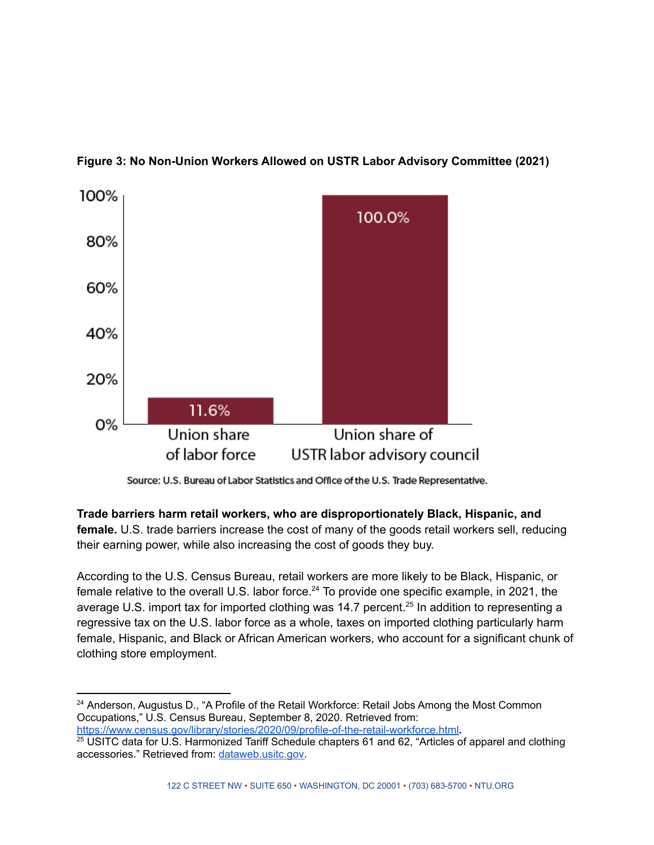

**Figure 3: No Non-Union Workers Allowed on USTR Labor Advisory Committee (2021)**

**Trade barriers harm retail workers, who are disproportionately Black, Hispanic, and female.** U.S. trade barriers increase the cost of many of the goods retail workers sell, reducing their earning power, while also increasing the cost of goods they buy.

According to the U.S. Census Bureau, retail workers are more likely to be Black, Hispanic, or female relative to the overall U.S. labor force.<sup>24</sup> To provide one specific example, in 2021, the average U.S. import tax for imported clothing was 14.7 percent.<sup>25</sup> In addition to representing a regressive tax on the U.S. labor force as a whole, taxes on imported clothing particularly harm female, Hispanic, and Black or African American workers, who account for a significant chunk of clothing store employment.

Source: U.S. Bureau of Labor Statistics and Office of the U.S. Trade Representative.

<sup>&</sup>lt;sup>24</sup> Anderson, Augustus D., "A Profile of the Retail Workforce: Retail Jobs Among the Most Common Occupations," U.S. Census Bureau, September 8, 2020. Retrieved from: <https://www.census.gov/library/stories/2020/09/profile-of-the-retail-workforce.html>**.**

<sup>&</sup>lt;sup>25</sup> USITC data for U.S. Harmonized Tariff Schedule chapters 61 and 62, "Articles of apparel and clothing accessories." Retrieved from: [dataweb.usitc.gov.](http://dataweb.usitc.gov)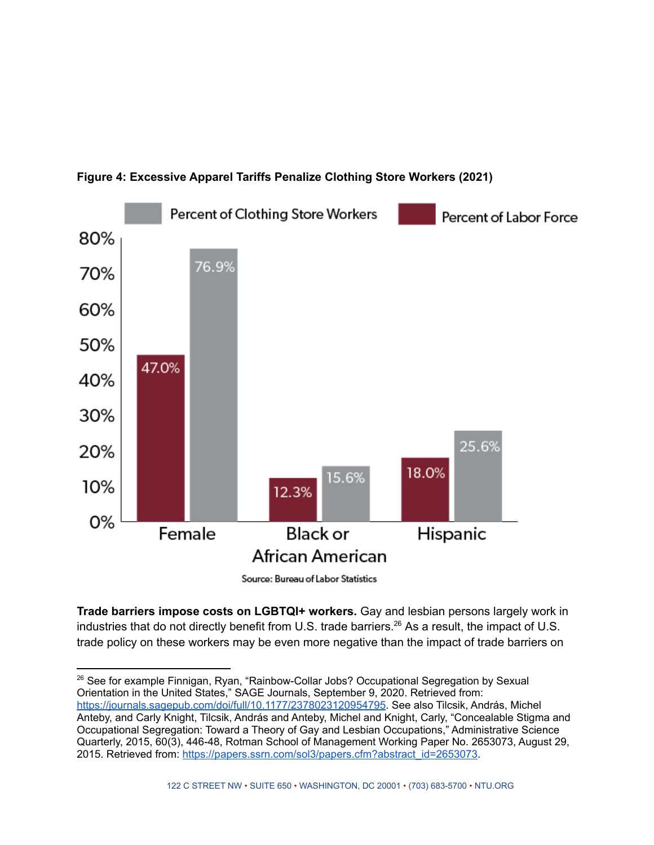

#### **Figure 4: Excessive Apparel Tariffs Penalize Clothing Store Workers (2021)**

Source: Bureau of Labor Statistics

**Trade barriers impose costs on LGBTQI+ workers.** Gay and lesbian persons largely work in industries that do not directly benefit from U.S. trade barriers. <sup>26</sup> As a result, the impact of U.S. trade policy on these workers may be even more negative than the impact of trade barriers on

<sup>26</sup> See for example Finnigan, Ryan, "Rainbow-Collar Jobs? Occupational Segregation by Sexual Orientation in the United States," SAGE Journals, September 9, 2020. Retrieved from: <https://journals.sagepub.com/doi/full/10.1177/2378023120954795>. See also Tilcsik, András, Michel Anteby, and Carly Knight, Tilcsik, András and Anteby, Michel and Knight, Carly, "Concealable Stigma and Occupational Segregation: Toward a Theory of Gay and Lesbian Occupations," Administrative Science Quarterly, 2015, 60(3), 446-48, Rotman School of Management Working Paper No. 2653073, August 29, 2015. Retrieved from: [https://papers.ssrn.com/sol3/papers.cfm?abstract\\_id=2653073](https://papers.ssrn.com/sol3/papers.cfm?abstract_id=2653073).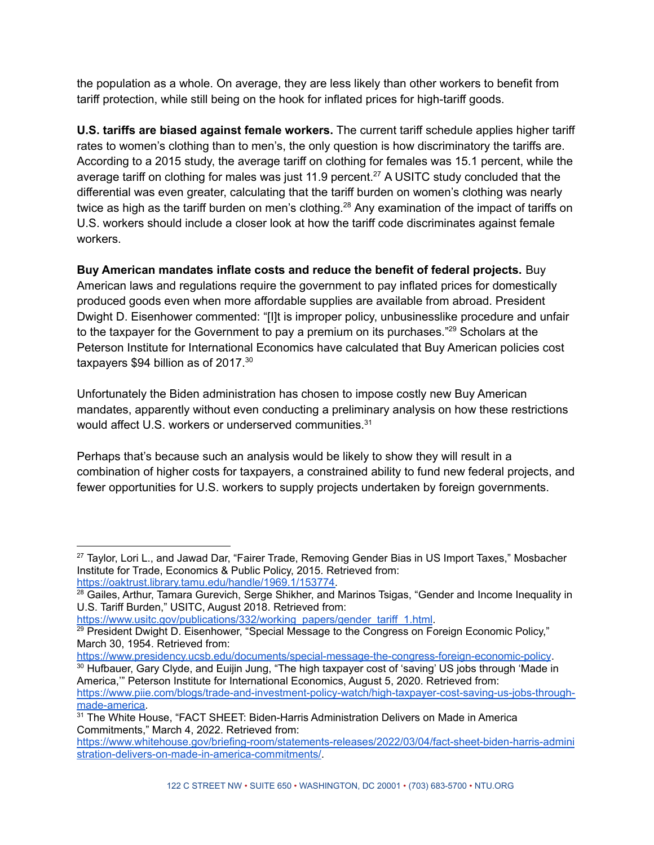the population as a whole. On average, they are less likely than other workers to benefit from tariff protection, while still being on the hook for inflated prices for high-tariff goods.

**U.S. tariffs are biased against female workers.** The current tariff schedule applies higher tariff rates to women's clothing than to men's, the only question is how discriminatory the tariffs are. According to a 2015 study, the average tariff on clothing for females was 15.1 percent, while the average tariff on clothing for males was just 11.9 percent.<sup>27</sup> A USITC study concluded that the differential was even greater, calculating that the tariff burden on women's clothing was nearly twice as high as the tariff burden on men's clothing.<sup>28</sup> Any examination of the impact of tariffs on U.S. workers should include a closer look at how the tariff code discriminates against female workers.

**Buy American mandates inflate costs and reduce the benefit of federal projects.** Buy American laws and regulations require the government to pay inflated prices for domestically produced goods even when more affordable supplies are available from abroad. President Dwight D. Eisenhower commented: "[I]t is improper policy, unbusinesslike procedure and unfair to the taxpayer for the Government to pay a premium on its purchases."<sup>29</sup> Scholars at the Peterson Institute for International Economics have calculated that Buy American policies cost taxpayers \$94 billion as of 2017.<sup>30</sup>

Unfortunately the Biden administration has chosen to impose costly new Buy American mandates, apparently without even conducting a preliminary analysis on how these restrictions would affect U.S. workers or underserved communities.<sup>31</sup>

Perhaps that's because such an analysis would be likely to show they will result in a combination of higher costs for taxpayers, a constrained ability to fund new federal projects, and fewer opportunities for U.S. workers to supply projects undertaken by foreign governments.

[https://www.usitc.gov/publications/332/working\\_papers/gender\\_tariff\\_1.html](https://www.usitc.gov/publications/332/working_papers/gender_tariff_1.html).

<https://www.presidency.ucsb.edu/documents/special-message-the-congress-foreign-economic-policy>.

<sup>30</sup> Hufbauer, Gary Clyde, and Euijin Jung, "The high taxpayer cost of 'saving' US jobs through 'Made in America,'" Peterson Institute for International Economics, August 5, 2020. Retrieved from: [https://www.piie.com/blogs/trade-and-investment-policy-watch/high-taxpayer-cost-saving-us-jobs-through](https://www.piie.com/blogs/trade-and-investment-policy-watch/high-taxpayer-cost-saving-us-jobs-through-made-america)[made-america.](https://www.piie.com/blogs/trade-and-investment-policy-watch/high-taxpayer-cost-saving-us-jobs-through-made-america)

<sup>&</sup>lt;sup>27</sup> Taylor, Lori L., and Jawad Dar, "Fairer Trade, Removing Gender Bias in US Import Taxes," Mosbacher Institute for Trade, Economics & Public Policy, 2015. Retrieved from: [https://oaktrust.library.tamu.edu/handle/1969.1/153774.](https://oaktrust.library.tamu.edu/handle/1969.1/153774)

 $^{28}$  Gailes, Arthur, Tamara Gurevich, Serge Shikher, and Marinos Tsigas, "Gender and Income Inequality in U.S. Tariff Burden," USITC, August 2018. Retrieved from:

 $29$  President Dwight D. Eisenhower, "Special Message to the Congress on Foreign Economic Policy," March 30, 1954. Retrieved from:

<sup>&</sup>lt;sup>31</sup> The White House, "FACT SHEET: Biden-Harris Administration Delivers on Made in America Commitments," March 4, 2022. Retrieved from:

[https://www.whitehouse.gov/briefing-room/statements-releases/2022/03/04/fact-sheet-biden-harris-admini](https://www.whitehouse.gov/briefing-room/statements-releases/2022/03/04/fact-sheet-biden-harris-administration-delivers-on-made-in-america-commitments/) [stration-delivers-on-made-in-america-commitments/.](https://www.whitehouse.gov/briefing-room/statements-releases/2022/03/04/fact-sheet-biden-harris-administration-delivers-on-made-in-america-commitments/)